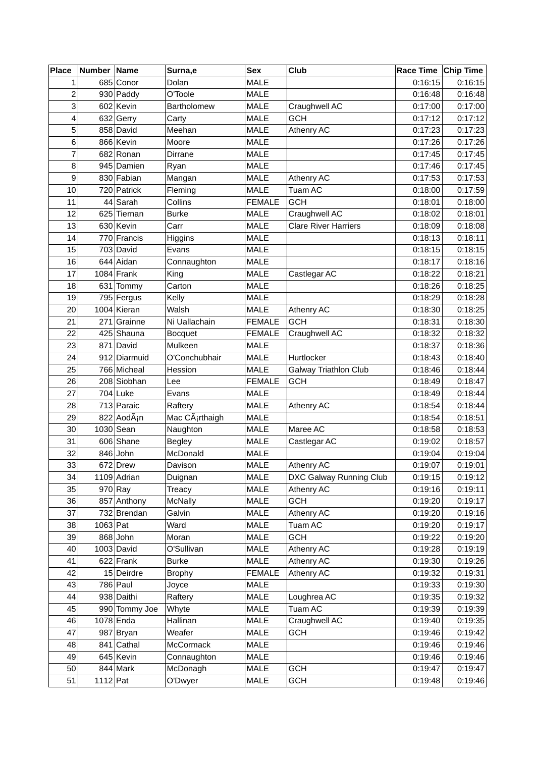| <b>Place</b>            | Number Name |                         | Surna,e            | <b>Sex</b>    | Club                         | Race Time Chip Time |         |
|-------------------------|-------------|-------------------------|--------------------|---------------|------------------------------|---------------------|---------|
| 1                       |             | 685 Conor               | Dolan              | <b>MALE</b>   |                              | 0:16:15             | 0:16:15 |
| $\overline{\mathbf{c}}$ |             | 930 Paddy               | O'Toole            | <b>MALE</b>   |                              | 0:16:48             | 0:16:48 |
| 3                       |             | 602 Kevin               | <b>Bartholomew</b> | MALE          | Craughwell AC                | 0:17:00             | 0:17:00 |
| 4                       |             | 632 Gerry               | Carty              | MALE          | <b>GCH</b>                   | 0:17:12             | 0:17:12 |
| 5                       |             | 858 David               | Meehan             | MALE          | Athenry AC                   | 0:17:23             | 0:17:23 |
| 6                       |             | 866 Kevin               | Moore              | MALE          |                              | 0:17:26             | 0:17:26 |
| $\overline{7}$          |             | 682 Ronan               | Dirrane            | <b>MALE</b>   |                              | 0:17:45             | 0:17:45 |
| 8                       |             | 945 Damien              | Ryan               | <b>MALE</b>   |                              | 0:17:46             | 0:17:45 |
| 9                       |             | 830 Fabian              | Mangan             | <b>MALE</b>   | Athenry AC                   | 0:17:53             | 0:17:53 |
| 10                      |             | 720 Patrick             | Fleming            | <b>MALE</b>   | <b>Tuam AC</b>               | 0:18:00             | 0:17:59 |
| 11                      |             | 44 Sarah                | Collins            | <b>FEMALE</b> | <b>GCH</b>                   | 0:18:01             | 0:18:00 |
| 12                      |             | 625 Tiernan             | <b>Burke</b>       | MALE          | Craughwell AC                | 0:18:02             | 0:18:01 |
| 13                      |             | 630 Kevin               | Carr               | <b>MALE</b>   | <b>Clare River Harriers</b>  | 0:18:09             | 0:18:08 |
| 14                      |             | 770 Francis             | Higgins            | MALE          |                              | 0:18:13             | 0:18:11 |
| 15                      |             | 703 David               | Evans              | <b>MALE</b>   |                              | 0:18:15             | 0:18:15 |
| 16                      |             | 644 Aidan               | Connaughton        | <b>MALE</b>   |                              | 0:18:17             | 0:18:16 |
| 17                      |             | 1084 Frank              | King               | <b>MALE</b>   | Castlegar AC                 | 0:18:22             | 0:18:21 |
| 18                      |             | 631 Tommy               | Carton             | <b>MALE</b>   |                              | 0:18:26             | 0:18:25 |
| 19                      |             | 795 Fergus              | Kelly              | <b>MALE</b>   |                              | 0:18:29             | 0:18:28 |
| 20                      |             | 1004 Kieran             | Walsh              | <b>MALE</b>   | Athenry AC                   | 0:18:30             | 0:18:25 |
| 21                      |             | 271 Grainne             | Ni Uallachain      | <b>FEMALE</b> | <b>GCH</b>                   | 0:18:31             | 0:18:30 |
| 22                      |             | 425 Shauna              | <b>Bocquet</b>     | <b>FEMALE</b> | Craughwell AC                | 0:18:32             | 0:18:32 |
| 23                      |             | 871 David               | Mulkeen            | <b>MALE</b>   |                              | 0:18:37             | 0:18:36 |
| 24                      |             | 912 Diarmuid            | O'Conchubhair      | <b>MALE</b>   | Hurtlocker                   | 0:18:43             | 0:18:40 |
| 25                      |             | 766 Micheal             | Hession            | <b>MALE</b>   | <b>Galway Triathlon Club</b> | 0:18:46             | 0:18:44 |
| 26                      |             | 208 Siobhan             | Lee                | <b>FEMALE</b> | <b>GCH</b>                   | 0:18:49             | 0:18:47 |
| 27                      |             | 704 Luke                | Evans              | <b>MALE</b>   |                              | 0:18:49             | 0:18:44 |
| 28                      |             | 713 Paraic              | Raftery            | <b>MALE</b>   | Athenry AC                   | 0:18:54             | 0:18:44 |
| 29                      |             | 822 AodÃ <sub>i</sub> n | Mac Cárthaigh      | <b>MALE</b>   |                              | 0:18:54             | 0:18:51 |
| 30                      |             | 1030 Sean               | Naughton           | <b>MALE</b>   | Maree AC                     | 0:18:58             | 0:18:53 |
| 31                      |             | 606 Shane               | <b>Begley</b>      | MALE          | Castlegar AC                 | 0:19:02             | 0:18:57 |
| 32                      |             | 846 John                | McDonald           | <b>MALE</b>   |                              | 0:19:04             | 0:19:04 |
| 33                      |             | 672 Drew                | Davison            | <b>MALE</b>   | Athenry AC                   | 0:19:07             | 0:19:01 |
| 34                      |             | 1109 Adrian             | Duignan            | MALE          | DXC Galway Running Club      | 0:19:15             | 0:19:12 |
| 35                      |             | $970$ Ray               | Treacy             | MALE          | Athenry AC                   | 0:19:16             | 0:19:11 |
| 36                      |             | 857 Anthony             | <b>McNally</b>     | MALE          | <b>GCH</b>                   | 0:19:20             | 0:19:17 |
| 37                      |             | 732 Brendan             | Galvin             | MALE          | Athenry AC                   | 0:19:20             | 0:19:16 |
| 38                      | 1063 Pat    |                         | Ward               | MALE          | Tuam AC                      | 0:19:20             | 0:19:17 |
| 39                      |             | 868 John                | Moran              | MALE          | <b>GCH</b>                   | 0:19:22             | 0:19:20 |
| 40                      |             | $1003$ David            | O'Sullivan         | <b>MALE</b>   | Athenry AC                   | 0:19:28             | 0:19:19 |
| 41                      |             | $622$ Frank             | <b>Burke</b>       | MALE          | Athenry AC                   | 0:19:30             | 0:19:26 |
| 42                      |             | 15 Deirdre              | <b>Brophy</b>      | <b>FEMALE</b> | Athenry AC                   | 0:19:32             | 0:19:31 |
| 43                      |             | 786 Paul                | Joyce              | <b>MALE</b>   |                              | 0:19:33             | 0:19:30 |
| 44                      |             | 938 Daithi              | Raftery            | MALE          | Loughrea AC                  | 0:19:35             | 0:19:32 |
| 45                      |             | 990 Tommy Joe           | Whyte              | MALE          | Tuam AC                      | 0:19:39             | 0:19:39 |
| 46                      |             | 1078 Enda               | Hallinan           | MALE          | Craughwell AC                | 0:19:40             | 0:19:35 |
| 47                      |             | 987 Bryan               | Weafer             | MALE          | <b>GCH</b>                   | 0:19:46             | 0:19:42 |
| 48                      |             | 841 Cathal              | McCormack          | MALE          |                              | 0:19:46             | 0:19:46 |
| 49                      |             | 645 Kevin               | Connaughton        | MALE          |                              | 0:19:46             | 0:19:46 |
| 50                      |             | 844 Mark                | McDonagh           | MALE          | <b>GCH</b>                   | 0:19:47             | 0:19:47 |
| 51                      | $1112$ Pat  |                         | O'Dwyer            | MALE          | GCH                          | 0:19:48             | 0:19:46 |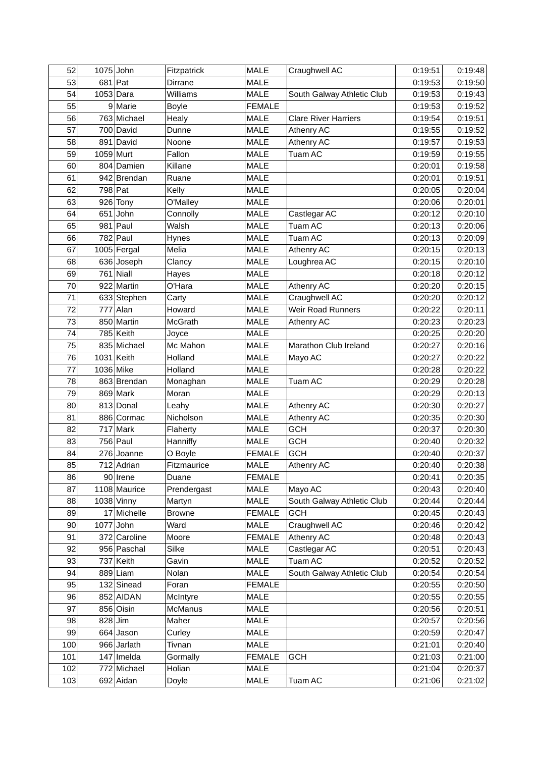| 52  | $1075$ John  | Fitzpatrick   | <b>MALE</b>   | Craughwell AC               | 0:19:51 | 0:19:48 |
|-----|--------------|---------------|---------------|-----------------------------|---------|---------|
| 53  | $681$ Pat    | Dirrane       | <b>MALE</b>   |                             | 0:19:53 | 0:19:50 |
| 54  | $1053$ Dara  | Williams      | <b>MALE</b>   | South Galway Athletic Club  | 0:19:53 | 0:19:43 |
| 55  | 9 Marie      | <b>Boyle</b>  | <b>FEMALE</b> |                             | 0:19:53 | 0:19:52 |
| 56  | 763 Michael  | Healy         | MALE          | <b>Clare River Harriers</b> | 0:19:54 | 0:19:51 |
| 57  | 700 David    | Dunne         | <b>MALE</b>   | Athenry AC                  | 0:19:55 | 0:19:52 |
| 58  | 891 David    | Noone         | <b>MALE</b>   | Athenry AC                  | 0:19:57 | 0:19:53 |
| 59  | 1059 Murt    | Fallon        | <b>MALE</b>   | Tuam AC                     | 0:19:59 | 0:19:55 |
| 60  | 804 Damien   | Killane       | <b>MALE</b>   |                             | 0:20:01 | 0:19:58 |
| 61  | 942 Brendan  | Ruane         | MALE          |                             | 0:20:01 | 0:19:51 |
| 62  | 798 Pat      | Kelly         | <b>MALE</b>   |                             | 0:20:05 | 0:20:04 |
| 63  | 926 Tony     | O'Malley      | <b>MALE</b>   |                             | 0:20:06 | 0:20:01 |
| 64  | $651$ John   | Connolly      | <b>MALE</b>   | Castlegar AC                | 0:20:12 | 0:20:10 |
| 65  | 981 Paul     | Walsh         | MALE          | Tuam AC                     | 0:20:13 | 0:20:06 |
| 66  | 782 Paul     | Hynes         | <b>MALE</b>   | Tuam AC                     | 0:20:13 | 0:20:09 |
| 67  | 1005 Fergal  | Melia         | <b>MALE</b>   | Athenry AC                  | 0:20:15 | 0:20:13 |
| 68  | 636 Joseph   | Clancy        | <b>MALE</b>   | Loughrea AC                 | 0:20:15 | 0:20:10 |
| 69  | $761$ Niall  | Hayes         | <b>MALE</b>   |                             | 0:20:18 | 0:20:12 |
| 70  | 922 Martin   | O'Hara        | MALE          | Athenry AC                  | 0:20:20 | 0:20:15 |
| 71  | 633 Stephen  | Carty         | <b>MALE</b>   | Craughwell AC               | 0:20:20 | 0:20:12 |
| 72  | 777 Alan     | Howard        | <b>MALE</b>   | <b>Weir Road Runners</b>    | 0:20:22 | 0:20:11 |
| 73  | 850 Martin   | McGrath       | MALE          | Athenry AC                  | 0:20:23 | 0:20:23 |
| 74  | 785 Keith    | Joyce         | MALE          |                             | 0:20:25 | 0:20:20 |
| 75  | 835 Michael  | Mc Mahon      | <b>MALE</b>   | Marathon Club Ireland       | 0:20:27 | 0:20:16 |
| 76  | 1031 Keith   | Holland       | <b>MALE</b>   | Mayo AC                     | 0:20:27 | 0:20:22 |
| 77  | 1036 Mike    | Holland       | <b>MALE</b>   |                             | 0:20:28 | 0:20:22 |
| 78  | 863 Brendan  | Monaghan      | <b>MALE</b>   | <b>Tuam AC</b>              | 0:20:29 | 0:20:28 |
| 79  | 869 Mark     | Moran         | <b>MALE</b>   |                             | 0:20:29 | 0:20:13 |
| 80  | 813 Donal    | Leahy         | <b>MALE</b>   | Athenry AC                  | 0:20:30 | 0:20:27 |
| 81  | 886 Cormac   | Nicholson     | <b>MALE</b>   | Athenry AC                  | 0:20:35 | 0:20:30 |
| 82  | 717 Mark     | Flaherty      | MALE          | <b>GCH</b>                  | 0:20:37 | 0:20:30 |
| 83  | 756 Paul     | Hanniffy      | MALE          | <b>GCH</b>                  | 0:20:40 | 0:20:32 |
| 84  | 276 Joanne   | O Boyle       | <b>FEMALE</b> | <b>GCH</b>                  | 0:20:40 | 0:20:37 |
| 85  | 712 Adrian   | Fitzmaurice   | <b>MALE</b>   | Athenry AC                  | 0:20:40 | 0:20:38 |
| 86  | 90 Irene     | Duane         | <b>FEMALE</b> |                             | 0:20:41 | 0:20:35 |
| 87  | 1108 Maurice | Prendergast   | MALE          | Mayo AC                     | 0:20:43 | 0:20:40 |
| 88  | $1038$ Vinny | Martyn        | MALE          | South Galway Athletic Club  | 0:20:44 | 0:20:44 |
| 89  | 17 Michelle  | <b>Browne</b> | <b>FEMALE</b> | <b>GCH</b>                  | 0:20:45 | 0:20:43 |
| 90  | $1077$ John  | Ward          | MALE          | Craughwell AC               | 0:20:46 | 0:20:42 |
| 91  | 372 Caroline | Moore         | <b>FEMALE</b> | Athenry AC                  | 0:20:48 | 0:20:43 |
| 92  | 956 Paschal  | Silke         | <b>MALE</b>   | Castlegar AC                | 0:20:51 | 0:20:43 |
| 93  | 737 Keith    | Gavin         | MALE          | Tuam AC                     | 0:20:52 | 0:20:52 |
| 94  | 889 Liam     | Nolan         | MALE          | South Galway Athletic Club  | 0:20:54 | 0:20:54 |
| 95  | 132 Sinead   | Foran         | <b>FEMALE</b> |                             | 0:20:55 | 0:20:50 |
| 96  | 852 AIDAN    | McIntyre      | MALE          |                             | 0:20:55 | 0:20:55 |
| 97  | 856 Oisin    | McManus       | MALE          |                             | 0:20:56 | 0:20:51 |
| 98  | 828 Jim      | Maher         | <b>MALE</b>   |                             | 0:20:57 | 0:20:56 |
| 99  | 664 Jason    | Curley        | MALE          |                             | 0:20:59 | 0:20:47 |
| 100 | 966 Jarlath  | Tivnan        | MALE          |                             | 0:21:01 | 0:20:40 |
| 101 | $147$ Imelda | Gormally      | <b>FEMALE</b> | <b>GCH</b>                  | 0:21:03 | 0:21:00 |
| 102 | 772 Michael  | Holian        | MALE          |                             | 0:21:04 | 0:20:37 |
|     |              |               |               |                             |         |         |
| 103 | 692 Aidan    | Doyle         | MALE          | Tuam AC                     | 0:21:06 | 0:21:02 |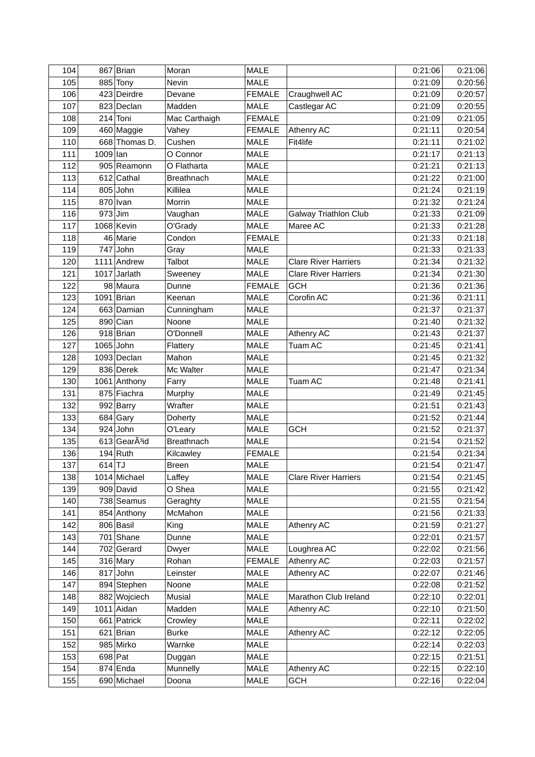| 104 |          | 867 Brian                 | Moran             | <b>MALE</b>   |                              | 0:21:06 | 0:21:06 |
|-----|----------|---------------------------|-------------------|---------------|------------------------------|---------|---------|
| 105 |          | 885 Tony                  | <b>Nevin</b>      | <b>MALE</b>   |                              | 0:21:09 | 0:20:56 |
| 106 |          | 423 Deirdre               | Devane            | <b>FEMALE</b> | Craughwell AC                | 0:21:09 | 0:20:57 |
| 107 |          | 823 Declan                | Madden            | <b>MALE</b>   | Castlegar AC                 | 0:21:09 | 0:20:55 |
| 108 |          | $214$ Toni                | Mac Carthaigh     | <b>FEMALE</b> |                              | 0:21:09 | 0:21:05 |
| 109 |          | 460 Maggie                | Vahey             | <b>FEMALE</b> | <b>Athenry AC</b>            | 0:21:11 | 0:20:54 |
| 110 |          | 668 Thomas D.             | Cushen            | <b>MALE</b>   | Fit4life                     | 0:21:11 | 0:21:02 |
| 111 | 1009 lan |                           | O Connor          | <b>MALE</b>   |                              | 0:21:17 | 0:21:13 |
| 112 |          | 905 Reamonn               | O Flatharta       | <b>MALE</b>   |                              | 0:21:21 | 0:21:13 |
| 113 |          | 612 Cathal                | <b>Breathnach</b> | MALE          |                              | 0:21:22 | 0:21:00 |
| 114 |          | 805 John                  | Killilea          | <b>MALE</b>   |                              | 0:21:24 | 0:21:19 |
| 115 |          | $870$ Ivan                | Morrin            | <b>MALE</b>   |                              | 0:21:32 | 0:21:24 |
| 116 |          | $973$ Jim                 | Vaughan           | <b>MALE</b>   | <b>Galway Triathlon Club</b> | 0:21:33 | 0:21:09 |
| 117 |          | 1068 Kevin                | O'Grady           | <b>MALE</b>   | Maree AC                     | 0:21:33 | 0:21:28 |
| 118 |          | 46 Marie                  | Condon            | <b>FEMALE</b> |                              | 0:21:33 | 0:21:18 |
| 119 |          | 747 John                  | Gray              | <b>MALE</b>   |                              | 0:21:33 | 0:21:33 |
| 120 |          | 1111 Andrew               | <b>Talbot</b>     | <b>MALE</b>   | <b>Clare River Harriers</b>  | 0:21:34 | 0:21:32 |
| 121 |          | 1017 Jarlath              | Sweeney           | <b>MALE</b>   | <b>Clare River Harriers</b>  | 0:21:34 | 0:21:30 |
| 122 |          | 98 Maura                  | Dunne             | <b>FEMALE</b> | <b>GCH</b>                   | 0:21:36 | 0:21:36 |
| 123 |          | 1091 Brian                | Keenan            | <b>MALE</b>   | Corofin AC                   | 0:21:36 | 0:21:11 |
| 124 |          | 663 Damian                | Cunningham        | <b>MALE</b>   |                              | 0:21:37 | 0:21:37 |
| 125 |          | 890 Cian                  | Noone             | MALE          |                              | 0:21:40 | 0:21:32 |
| 126 |          | 918 Brian                 | O'Donnell         | MALE          | Athenry AC                   | 0:21:43 | 0:21:37 |
| 127 |          | 1065 John                 | Flattery          | <b>MALE</b>   | <b>Tuam AC</b>               | 0:21:45 | 0:21:41 |
| 128 |          | 1093 Declan               | Mahon             | <b>MALE</b>   |                              | 0:21:45 | 0:21:32 |
| 129 |          | 836 Derek                 | Mc Walter         | <b>MALE</b>   |                              | 0:21:47 | 0:21:34 |
| 130 |          | 1061 Anthony              | Farry             | <b>MALE</b>   | Tuam AC                      | 0:21:48 | 0:21:41 |
| 131 |          | 875 Fiachra               | Murphy            | MALE          |                              | 0:21:49 | 0:21:45 |
| 132 |          | 992 Barry                 | Wrafter           | <b>MALE</b>   |                              | 0:21:51 | 0:21:43 |
| 133 |          | $684$ Gary                | Doherty           | <b>MALE</b>   |                              | 0:21:52 | 0:21:44 |
| 134 |          | $924$ John                | O'Leary           | <b>MALE</b>   | <b>GCH</b>                   | 0:21:52 | 0:21:37 |
| 135 |          | 613 GearA <sup>3</sup> id | <b>Breathnach</b> | <b>MALE</b>   |                              | 0:21:54 | 0:21:52 |
| 136 |          | $194$ Ruth                | Kilcawley         | <b>FEMALE</b> |                              | 0:21:54 | 0:21:34 |
| 137 | $614$ TJ |                           | <b>Breen</b>      | MALE          |                              | 0:21:54 | 0:21:47 |
| 138 |          | 1014 Michael              | Laffey            | MALE          | <b>Clare River Harriers</b>  | 0:21:54 | 0:21:45 |
| 139 |          | 909 David                 | O Shea            | MALE          |                              | 0:21:55 | 0:21:42 |
| 140 |          | 738 Seamus                | Geraghty          | MALE          |                              | 0:21:55 | 0:21:54 |
| 141 |          | 854 Anthony               | McMahon           | MALE          |                              | 0:21:56 | 0:21:33 |
| 142 |          | 806 Basil                 | King              | MALE          | Athenry AC                   | 0:21:59 | 0:21:27 |
| 143 |          | 701 Shane                 | Dunne             | MALE          |                              | 0:22:01 | 0:21:57 |
| 144 |          | 702 Gerard                | Dwyer             | MALE          | Loughrea AC                  | 0:22:02 | 0:21:56 |
| 145 |          | 316 Mary                  | Rohan             | <b>FEMALE</b> | Athenry AC                   | 0:22:03 | 0:21:57 |
| 146 |          | $817$ John                | Leinster          | MALE          | Athenry AC                   | 0:22:07 | 0:21:46 |
| 147 |          | 894 Stephen               | Noone             | MALE          |                              | 0:22:08 | 0:21:52 |
| 148 |          | 882 Wojciech              | Musial            | MALE          | Marathon Club Ireland        | 0:22:10 | 0:22:01 |
| 149 |          | 1011 Aidan                | Madden            | MALE          | Athenry AC                   | 0:22:10 | 0:21:50 |
| 150 |          | 661 Patrick               | Crowley           | MALE          |                              | 0:22:11 | 0:22:02 |
| 151 |          | 621 Brian                 | <b>Burke</b>      | MALE          | Athenry AC                   | 0:22:12 | 0:22:05 |
| 152 |          | 985 Mirko                 | Warnke            | MALE          |                              | 0:22:14 | 0:22:03 |
| 153 |          | 698 Pat                   | Duggan            | MALE          |                              | 0:22:15 | 0:21:51 |
| 154 |          | 874 Enda                  | Munnelly          | MALE          | Athenry AC                   | 0:22:15 | 0:22:10 |
| 155 |          | 690 Michael               | Doona             | MALE          | <b>GCH</b>                   | 0:22:16 | 0:22:04 |
|     |          |                           |                   |               |                              |         |         |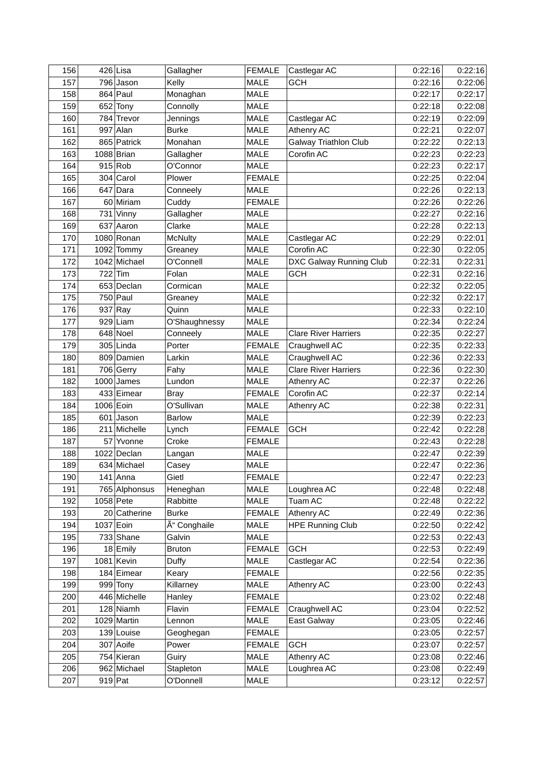| 156 |           | $426$ Lisa    | Gallagher      | <b>FEMALE</b> | Castlegar AC                 | 0:22:16 | 0:22:16 |
|-----|-----------|---------------|----------------|---------------|------------------------------|---------|---------|
| 157 |           | 796 Jason     | Kelly          | <b>MALE</b>   | <b>GCH</b>                   | 0:22:16 | 0:22:06 |
| 158 |           | 864 Paul      | Monaghan       | <b>MALE</b>   |                              | 0:22:17 | 0:22:17 |
| 159 |           | $652$ Tony    | Connolly       | <b>MALE</b>   |                              | 0:22:18 | 0:22:08 |
| 160 |           | 784 Trevor    | Jennings       | MALE          | Castlegar AC                 | 0:22:19 | 0:22:09 |
| 161 |           | 997 Alan      | <b>Burke</b>   | MALE          | Athenry AC                   | 0:22:21 | 0:22:07 |
| 162 |           | 865 Patrick   | Monahan        | MALE          | <b>Galway Triathlon Club</b> | 0:22:22 | 0:22:13 |
| 163 |           | 1088 Brian    | Gallagher      | <b>MALE</b>   | Corofin AC                   | 0:22:23 | 0:22:23 |
| 164 |           | $915$ Rob     | O'Connor       | <b>MALE</b>   |                              | 0:22:23 | 0:22:17 |
| 165 |           | 304 Carol     | Plower         | <b>FEMALE</b> |                              | 0:22:25 | 0:22:04 |
| 166 |           | $647$ Dara    | Conneely       | <b>MALE</b>   |                              | 0:22:26 | 0:22:13 |
| 167 |           | 60 Miriam     | Cuddy          | <b>FEMALE</b> |                              | 0:22:26 | 0:22:26 |
| 168 |           | 731 Vinny     | Gallagher      | <b>MALE</b>   |                              | 0:22:27 | 0:22:16 |
| 169 |           | 637 Aaron     | Clarke         | MALE          |                              | 0:22:28 | 0:22:13 |
| 170 |           | 1080 Ronan    | <b>McNulty</b> | MALE          | Castlegar AC                 | 0:22:29 | 0:22:01 |
| 171 |           | 1092 Tommy    | Greaney        | MALE          | Corofin AC                   | 0:22:30 | 0:22:05 |
| 172 |           | 1042 Michael  | O'Connell      | MALE          | DXC Galway Running Club      | 0:22:31 | 0:22:31 |
| 173 |           | $722$ Tim     | Folan          | MALE          | <b>GCH</b>                   | 0:22:31 | 0:22:16 |
| 174 |           | 653 Declan    | Cormican       | MALE          |                              | 0:22:32 | 0:22:05 |
| 175 |           | 750 Paul      | Greaney        | <b>MALE</b>   |                              | 0:22:32 | 0:22:17 |
| 176 |           | $937$ Ray     | Quinn          | <b>MALE</b>   |                              | 0:22:33 | 0:22:10 |
| 177 |           | 929 Liam      | O'Shaughnessy  | MALE          |                              | 0:22:34 | 0:22:24 |
| 178 |           | 648 Noel      | Conneely       | <b>MALE</b>   | <b>Clare River Harriers</b>  | 0:22:35 | 0:22:27 |
| 179 |           | 305 Linda     | Porter         | <b>FEMALE</b> | Craughwell AC                | 0:22:35 | 0:22:33 |
| 180 |           | 809 Damien    | Larkin         | <b>MALE</b>   | Craughwell AC                | 0:22:36 | 0:22:33 |
| 181 |           | 706 Gerry     | Fahy           | <b>MALE</b>   | <b>Clare River Harriers</b>  | 0:22:36 | 0:22:30 |
| 182 |           | $1000$ James  | Lundon         | <b>MALE</b>   | Athenry AC                   | 0:22:37 | 0:22:26 |
| 183 |           | 433 Eimear    | <b>Bray</b>    | <b>FEMALE</b> | Corofin AC                   | 0:22:37 | 0:22:14 |
| 184 | 1006 Eoin |               | O'Sullivan     | <b>MALE</b>   | Athenry AC                   | 0:22:38 | 0:22:31 |
| 185 |           | $601$ Jason   | <b>Barlow</b>  | MALE          |                              | 0:22:39 | 0:22:23 |
| 186 |           | 211 Michelle  | Lynch          | <b>FEMALE</b> | <b>GCH</b>                   | 0:22:42 | 0:22:28 |
| 187 |           | 57 Yvonne     | Croke          | <b>FEMALE</b> |                              | 0:22:43 | 0:22:28 |
| 188 |           | 1022 Declan   | Langan         | <b>MALE</b>   |                              | 0:22:47 | 0:22:39 |
| 189 |           | 634 Michael   | Casey          | MALE          |                              | 0:22:47 | 0:22:36 |
| 190 |           | 141 Anna      | Gietl          | <b>FEMALE</b> |                              | 0:22:47 | 0:22:23 |
| 191 |           | 765 Alphonsus | Heneghan       | MALE          | Loughrea AC                  | 0:22:48 | 0:22:48 |
| 192 |           | $1058$ Pete   | Rabbitte       | MALE          | Tuam AC                      | 0:22:48 | 0:22:22 |
| 193 |           | 20 Catherine  | <b>Burke</b>   | <b>FEMALE</b> | Athenry AC                   | 0:22:49 | 0:22:36 |
| 194 |           | 1037 Eoin     | Ó Conghaile    | MALE          | <b>HPE Running Club</b>      | 0:22:50 | 0:22:42 |
| 195 |           | 733 Shane     | Galvin         | MALE          |                              | 0:22:53 | 0:22:43 |
| 196 |           | 18 Emily      | <b>Bruton</b>  | <b>FEMALE</b> | <b>GCH</b>                   | 0:22:53 | 0:22:49 |
| 197 |           | $1081$ Kevin  | Duffy          | MALE          | Castlegar AC                 | 0:22:54 | 0:22:36 |
| 198 |           | 184 Eimear    | Keary          | <b>FEMALE</b> |                              | 0:22:56 | 0:22:35 |
| 199 |           | $999$ Tony    | Killarney      | MALE          | Athenry AC                   | 0:23:00 | 0:22:43 |
| 200 |           | 446 Michelle  | Hanley         | <b>FEMALE</b> |                              | 0:23:02 | 0:22:48 |
| 201 |           | 128 Niamh     | Flavin         | <b>FEMALE</b> | Craughwell AC                | 0:23:04 | 0:22:52 |
| 202 |           | 1029 Martin   | Lennon         | MALE          | East Galway                  | 0:23:05 | 0:22:46 |
| 203 |           | 139 Louise    | Geoghegan      | <b>FEMALE</b> |                              | 0:23:05 | 0:22:57 |
| 204 |           | 307 Aoife     | Power          | <b>FEMALE</b> | <b>GCH</b>                   | 0:23:07 | 0:22:57 |
| 205 |           | 754 Kieran    | Guiry          | MALE          | Athenry AC                   | 0:23:08 | 0:22:46 |
| 206 |           | 962 Michael   | Stapleton      | MALE          | Loughrea AC                  | 0:23:08 | 0:22:49 |
| 207 |           | $919$ Pat     | O'Donnell      | MALE          |                              | 0:23:12 | 0:22:57 |
|     |           |               |                |               |                              |         |         |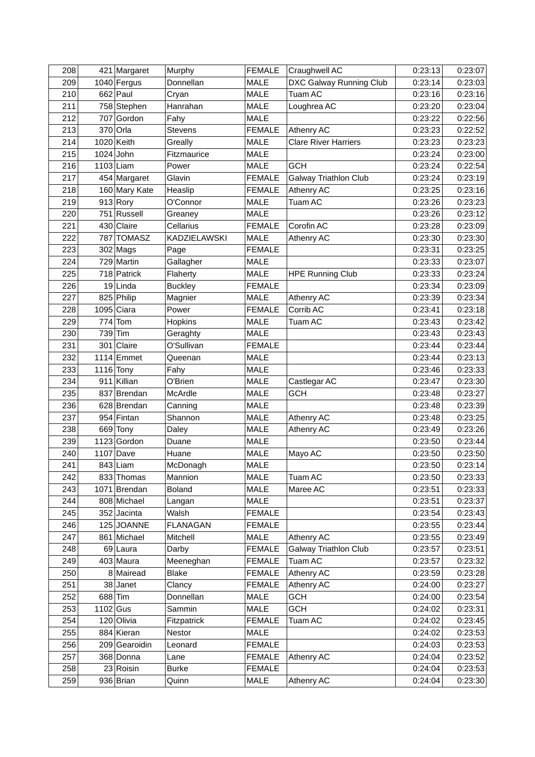| 208 |          | 421 Margaret  | Murphy          | <b>FEMALE</b> | Craughwell AC                | 0:23:13 | 0:23:07 |
|-----|----------|---------------|-----------------|---------------|------------------------------|---------|---------|
| 209 |          | 1040 Fergus   | Donnellan       | <b>MALE</b>   | DXC Galway Running Club      | 0:23:14 | 0:23:03 |
| 210 |          | $662$ Paul    | Cryan           | <b>MALE</b>   | Tuam AC                      | 0:23:16 | 0:23:16 |
| 211 |          | 758 Stephen   | Hanrahan        | MALE          | Loughrea AC                  | 0:23:20 | 0:23:04 |
| 212 |          | 707 Gordon    | Fahy            | MALE          |                              | 0:23:22 | 0:22:56 |
| 213 |          | 370 Orla      | <b>Stevens</b>  | <b>FEMALE</b> | <b>Athenry AC</b>            | 0:23:23 | 0:22:52 |
| 214 |          | 1020 Keith    | Greally         | MALE          | <b>Clare River Harriers</b>  | 0:23:23 | 0:23:23 |
| 215 |          | $1024$ John   | Fitzmaurice     | <b>MALE</b>   |                              | 0:23:24 | 0:23:00 |
| 216 |          | $1103$ Liam   | Power           | MALE          | <b>GCH</b>                   | 0:23:24 | 0:22:54 |
| 217 |          | 454 Margaret  | Glavin          | <b>FEMALE</b> | <b>Galway Triathlon Club</b> | 0:23:24 | 0:23:19 |
| 218 |          | 160 Mary Kate | Heaslip         | <b>FEMALE</b> | Athenry AC                   | 0:23:25 | 0:23:16 |
| 219 |          | $913$ Rory    | O'Connor        | MALE          | Tuam AC                      | 0:23:26 | 0:23:23 |
| 220 |          | 751 Russell   | Greaney         | <b>MALE</b>   |                              | 0:23:26 | 0:23:12 |
| 221 |          | 430 Claire    | Cellarius       | <b>FEMALE</b> | Corofin AC                   | 0:23:28 | 0:23:09 |
| 222 |          | 787 TOMASZ    | KADZIELAWSKI    | MALE          | Athenry AC                   | 0:23:30 | 0:23:30 |
| 223 |          | $302$ Mags    | Page            | <b>FEMALE</b> |                              | 0:23:31 | 0:23:25 |
| 224 |          | 729 Martin    | Gallagher       | MALE          |                              | 0:23:33 | 0:23:07 |
| 225 |          | 718 Patrick   | Flaherty        | <b>MALE</b>   | <b>HPE Running Club</b>      | 0:23:33 | 0:23:24 |
| 226 |          | 19 Linda      | <b>Buckley</b>  | <b>FEMALE</b> |                              | 0:23:34 | 0:23:09 |
| 227 |          | 825 Philip    | Magnier         | MALE          | Athenry AC                   | 0:23:39 | 0:23:34 |
| 228 |          | $1095$ Ciara  | Power           | <b>FEMALE</b> | Corrib AC                    | 0:23:41 | 0:23:18 |
| 229 |          | $774$ Tom     | Hopkins         | MALE          | Tuam AC                      | 0:23:43 | 0:23:42 |
| 230 |          | 739 Tim       | Geraghty        | <b>MALE</b>   |                              | 0:23:43 | 0:23:43 |
| 231 |          | 301 Claire    | O'Sullivan      | <b>FEMALE</b> |                              | 0:23:44 | 0:23:44 |
| 232 |          | $1114$ Emmet  | Queenan         | <b>MALE</b>   |                              | 0:23:44 | 0:23:13 |
| 233 |          | $1116$ Tony   | Fahy            | <b>MALE</b>   |                              | 0:23:46 | 0:23:33 |
| 234 |          | 911 Killian   | O'Brien         | MALE          | Castlegar AC                 | 0:23:47 | 0:23:30 |
| 235 |          | 837 Brendan   | McArdle         | MALE          | <b>GCH</b>                   | 0:23:48 | 0:23:27 |
| 236 |          | 628 Brendan   | Canning         | MALE          |                              | 0:23:48 | 0:23:39 |
| 237 |          | 954 Fintan    | Shannon         | MALE          | Athenry AC                   | 0:23:48 | 0:23:25 |
| 238 |          | 669 Tony      | Daley           | MALE          | Athenry AC                   | 0:23:49 | 0:23:26 |
| 239 |          | 1123 Gordon   | Duane           | MALE          |                              | 0:23:50 | 0:23:44 |
| 240 |          | $1107$ Dave   | Huane           | <b>MALE</b>   | Mayo AC                      | 0:23:50 | 0:23:50 |
| 241 |          | 843 Liam      | McDonagh        | MALE          |                              | 0:23:50 | 0:23:14 |
| 242 |          | 833 Thomas    | Mannion         | MALE          | Tuam AC                      | 0:23:50 | 0:23:33 |
| 243 |          | 1071 Brendan  | <b>Boland</b>   | MALE          | Maree AC                     | 0:23:51 | 0:23:33 |
| 244 |          | 808 Michael   | Langan          | MALE          |                              | 0:23:51 | 0:23:37 |
| 245 |          | 352 Jacinta   | Walsh           | <b>FEMALE</b> |                              | 0:23:54 | 0:23:43 |
| 246 |          | 125 JOANNE    | <b>FLANAGAN</b> | <b>FEMALE</b> |                              | 0:23:55 | 0:23:44 |
| 247 |          | 861 Michael   | Mitchell        | MALE          | Athenry AC                   | 0:23:55 | 0:23:49 |
| 248 |          | 69 Laura      | Darby           | <b>FEMALE</b> | <b>Galway Triathlon Club</b> | 0:23:57 | 0:23:51 |
| 249 |          | 403 Maura     | Meeneghan       | <b>FEMALE</b> | Tuam AC                      | 0:23:57 | 0:23:32 |
| 250 |          | 8 Mairead     | <b>Blake</b>    | <b>FEMALE</b> | Athenry AC                   | 0:23:59 | 0:23:28 |
| 251 |          | 38 Janet      | Clancy          | <b>FEMALE</b> | Athenry AC                   | 0:24:00 | 0:23:27 |
| 252 |          | $688$ Tim     | Donnellan       | MALE          | <b>GCH</b>                   | 0:24:00 | 0:23:54 |
| 253 | 1102 Gus |               | Sammin          | MALE          | <b>GCH</b>                   | 0:24:02 | 0:23:31 |
| 254 |          | 120 Olivia    | Fitzpatrick     | <b>FEMALE</b> | <b>Tuam AC</b>               | 0:24:02 | 0:23:45 |
| 255 |          | 884 Kieran    | Nestor          | MALE          |                              | 0:24:02 | 0:23:53 |
| 256 |          | 209 Gearoidin | Leonard         | <b>FEMALE</b> |                              | 0:24:03 | 0:23:53 |
| 257 |          | 368 Donna     | Lane            | <b>FEMALE</b> | Athenry AC                   | 0:24:04 | 0:23:52 |
| 258 |          | 23 Roisin     | <b>Burke</b>    | <b>FEMALE</b> |                              | 0:24:04 | 0:23:53 |
| 259 |          | 936 Brian     | Quinn           | MALE          | Athenry AC                   | 0:24:04 | 0:23:30 |
|     |          |               |                 |               |                              |         |         |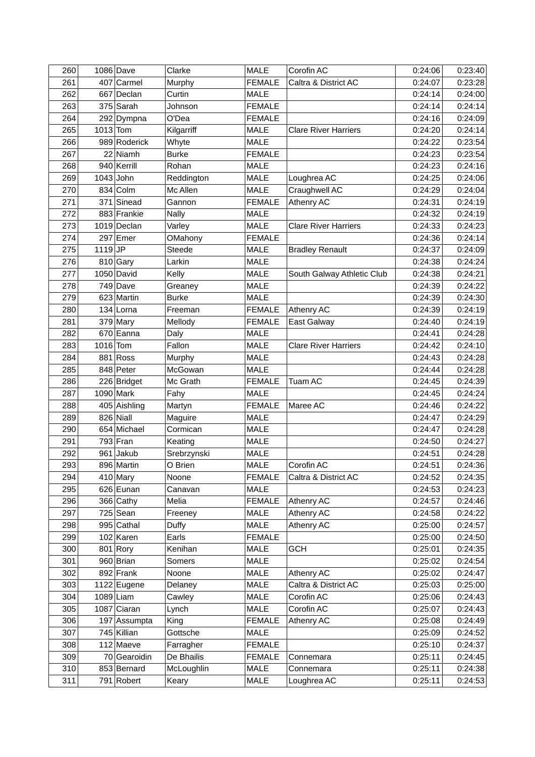| 260 |           | 1086 Dave             | Clarke              | <b>MALE</b>           | Corofin AC                  | 0:24:06            | 0:23:40 |
|-----|-----------|-----------------------|---------------------|-----------------------|-----------------------------|--------------------|---------|
| 261 |           | 407 Carmel            | Murphy              | <b>FEMALE</b>         | Caltra & District AC        | 0:24:07            | 0:23:28 |
| 262 |           | 667 Declan            | Curtin              | <b>MALE</b>           |                             | 0:24:14            | 0:24:00 |
| 263 |           | 375 Sarah             | Johnson             | <b>FEMALE</b>         |                             | 0:24:14            | 0:24:14 |
| 264 |           | 292 Dympna            | O'Dea               | <b>FEMALE</b>         |                             | 0:24:16            | 0:24:09 |
| 265 | 1013 Tom  |                       | Kilgarriff          | MALE                  | <b>Clare River Harriers</b> | 0:24:20            | 0:24:14 |
| 266 |           | 989 Roderick          | Whyte               | <b>MALE</b>           |                             | 0:24:22            | 0:23:54 |
| 267 |           | 22 Niamh              | <b>Burke</b>        | <b>FEMALE</b>         |                             | 0:24:23            | 0:23:54 |
| 268 |           | 940 Kerrill           | Rohan               | <b>MALE</b>           |                             | 0:24:23            | 0:24:16 |
| 269 |           | $1043$ John           | Reddington          | MALE                  | Loughrea AC                 | 0:24:25            | 0:24:06 |
| 270 |           | 834 Colm              | Mc Allen            | <b>MALE</b>           | Craughwell AC               | 0:24:29            | 0:24:04 |
| 271 |           | 371 Sinead            | Gannon              | <b>FEMALE</b>         | <b>Athenry AC</b>           | 0:24:31            | 0:24:19 |
| 272 |           | 883 Frankie           | <b>Nally</b>        | MALE                  |                             | 0:24:32            | 0:24:19 |
| 273 |           | 1019 Declan           | Varley              | <b>MALE</b>           | <b>Clare River Harriers</b> | 0:24:33            | 0:24:23 |
| 274 |           | $297$ Emer            | OMahony             | <b>FEMALE</b>         |                             | 0:24:36            | 0:24:14 |
| 275 | $1119$ JP |                       | Steede              | MALE                  | <b>Bradley Renault</b>      | 0:24:37            | 0:24:09 |
| 276 |           | 810 Gary              | Larkin              | <b>MALE</b>           |                             | 0:24:38            | 0:24:24 |
| 277 |           | 1050 David            | Kelly               | <b>MALE</b>           | South Galway Athletic Club  | 0:24:38            | 0:24:21 |
| 278 |           | $749$ Dave            | Greaney             | MALE                  |                             | 0:24:39            | 0:24:22 |
| 279 |           | 623 Martin            | <b>Burke</b>        | <b>MALE</b>           |                             | 0:24:39            | 0:24:30 |
| 280 |           | $134$ Lorna           | Freeman             | <b>FEMALE</b>         | <b>Athenry AC</b>           | 0:24:39            | 0:24:19 |
| 281 |           | $379$ Mary            | Mellody             | <b>FEMALE</b>         | <b>East Galway</b>          | 0:24:40            | 0:24:19 |
| 282 |           | 670 Eanna             | Daly                | <b>MALE</b>           |                             | 0:24:41            | 0:24:28 |
| 283 | 1016 Tom  |                       | Fallon              | <b>MALE</b>           | <b>Clare River Harriers</b> | 0:24:42            | 0:24:10 |
| 284 |           | 881 Ross              | Murphy              | <b>MALE</b>           |                             | 0:24:43            | 0:24:28 |
| 285 |           | 848 Peter             | McGowan             | <b>MALE</b>           |                             | 0:24:44            | 0:24:28 |
| 286 |           | 226 Bridget           | Mc Grath            | <b>FEMALE</b>         | <b>Tuam AC</b>              | 0:24:45            | 0:24:39 |
| 287 |           | 1090 Mark             | Fahy                | <b>MALE</b>           |                             | 0:24:45            | 0:24:24 |
| 288 |           | 405 Aishling          |                     | <b>FEMALE</b>         | Maree AC                    | 0:24:46            | 0:24:22 |
| 289 |           | 826 Niall             | Martyn              | MALE                  |                             | 0:24:47            | 0:24:29 |
| 290 |           | 654 Michael           | Maguire<br>Cormican | <b>MALE</b>           |                             | 0:24:47            | 0:24:28 |
| 291 |           | $793$ Fran            | Keating             | <b>MALE</b>           |                             | 0:24:50            | 0:24:27 |
| 292 |           | $961$ Jakub           | Srebrzynski         | <b>MALE</b>           |                             | 0:24:51            | 0:24:28 |
| 293 |           | 896 Martin            |                     |                       |                             |                    | 0:24:36 |
| 294 |           |                       | O Brien             | MALE                  | Corofin AC                  | 0:24:51<br>0:24:52 | 0:24:35 |
| 295 |           | 410 Mary<br>626 Eunan | Noone               | <b>FEMALE</b><br>MALE | Caltra & District AC        | 0:24:53            | 0:24:23 |
|     |           |                       | Canavan             | <b>FEMALE</b>         | Athenry AC                  |                    |         |
| 296 |           | 366 Cathy             | Melia               |                       |                             | 0:24:57            | 0:24:46 |
| 297 |           | $725$ Sean            | Freeney             | MALE                  | Athenry AC                  | 0:24:58            | 0:24:22 |
| 298 |           | 995 Cathal            | Duffy               | MALE                  | Athenry AC                  | 0:25:00            | 0:24:57 |
| 299 |           | 102 Karen             | Earls               | <b>FEMALE</b>         |                             | 0:25:00            | 0:24:50 |
| 300 |           | $801$ Rory            | Kenihan             | MALE                  | <b>GCH</b>                  | 0:25:01            | 0:24:35 |
| 301 |           | 960 Brian             | Somers              | MALE                  |                             | 0:25:02            | 0:24:54 |
| 302 |           | $892$ Frank           | Noone               | MALE                  | Athenry AC                  | 0:25:02            | 0:24:47 |
| 303 |           | 1122 Eugene           | Delaney             | MALE                  | Caltra & District AC        | 0:25:03            | 0:25:00 |
| 304 |           | $1089$ Liam           | Cawley              | MALE                  | Corofin AC                  | 0:25:06            | 0:24:43 |
| 305 |           | 1087 Ciaran           | Lynch               | MALE                  | Corofin AC                  | 0:25:07            | 0:24:43 |
| 306 |           | 197 Assumpta          | King                | <b>FEMALE</b>         | Athenry AC                  | 0:25:08            | 0:24:49 |
| 307 |           | 745 Killian           | Gottsche            | MALE                  |                             | 0:25:09            | 0:24:52 |
| 308 |           | 112 Maeve             | Farragher           | <b>FEMALE</b>         |                             | 0:25:10            | 0:24:37 |
| 309 |           | 70 Gearoidin          | De Bhailis          | <b>FEMALE</b>         | Connemara                   | 0:25:11            | 0:24:45 |
| 310 |           | 853 Bernard           | McLoughlin          | MALE                  | Connemara                   | 0:25:11            | 0:24:38 |
| 311 |           | 791 Robert            | Keary               | MALE                  | Loughrea AC                 | 0:25:11            | 0:24:53 |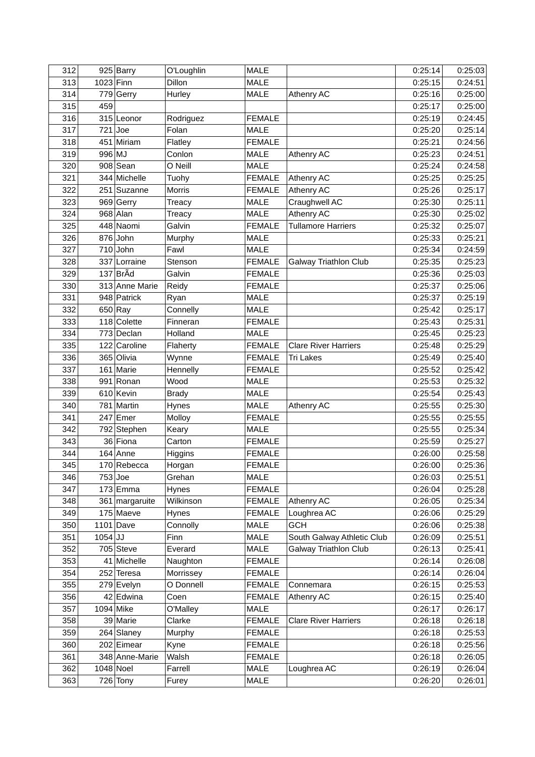| 312 |           | 925 Barry      | O'Loughlin   | <b>MALE</b>   |                              | 0:25:14 | 0:25:03 |
|-----|-----------|----------------|--------------|---------------|------------------------------|---------|---------|
| 313 |           | 1023 Finn      | Dillon       | <b>MALE</b>   |                              | 0:25:15 | 0:24:51 |
| 314 |           | 779 Gerry      | Hurley       | <b>MALE</b>   | Athenry AC                   | 0:25:16 | 0:25:00 |
| 315 | 459       |                |              |               |                              | 0:25:17 | 0:25:00 |
| 316 |           | 315 Leonor     | Rodriguez    | <b>FEMALE</b> |                              | 0:25:19 | 0:24:45 |
| 317 |           | $721$ Joe      | Folan        | <b>MALE</b>   |                              | 0:25:20 | 0:25:14 |
| 318 |           | 451 Miriam     | Flatley      | <b>FEMALE</b> |                              | 0:25:21 | 0:24:56 |
| 319 | 996 MJ    |                | Conlon       | MALE          | Athenry AC                   | 0:25:23 | 0:24:51 |
| 320 |           | $908$ Sean     | O Neill      | <b>MALE</b>   |                              | 0:25:24 | 0:24:58 |
| 321 |           | 344 Michelle   | Tuohy        | <b>FEMALE</b> | Athenry AC                   | 0:25:25 | 0:25:25 |
| 322 |           | 251 Suzanne    | Morris       | <b>FEMALE</b> | Athenry AC                   | 0:25:26 | 0:25:17 |
| 323 |           | 969 Gerry      | Treacy       | <b>MALE</b>   | Craughwell AC                | 0:25:30 | 0:25:11 |
| 324 |           | 968 Alan       | Treacy       | <b>MALE</b>   | Athenry AC                   | 0:25:30 | 0:25:02 |
| 325 |           | 448 Naomi      | Galvin       | <b>FEMALE</b> | <b>Tullamore Harriers</b>    | 0:25:32 | 0:25:07 |
| 326 |           | 876 John       | Murphy       | MALE          |                              | 0:25:33 | 0:25:21 |
| 327 |           | $710$ John     | Fawl         | MALE          |                              | 0:25:34 | 0:24:59 |
| 328 |           | 337 Lorraine   | Stenson      | <b>FEMALE</b> | <b>Galway Triathlon Club</b> | 0:25:35 | 0:25:23 |
| 329 |           | 137 BrÃd       | Galvin       | <b>FEMALE</b> |                              | 0:25:36 | 0:25:03 |
| 330 |           | 313 Anne Marie | Reidy        | <b>FEMALE</b> |                              | 0:25:37 | 0:25:06 |
| 331 |           | 948 Patrick    | Ryan         | <b>MALE</b>   |                              | 0:25:37 | 0:25:19 |
| 332 |           | $650$ Ray      | Connelly     | <b>MALE</b>   |                              | 0:25:42 | 0:25:17 |
| 333 |           | 118 Colette    | Finneran     | <b>FEMALE</b> |                              | 0:25:43 | 0:25:31 |
| 334 |           | 773 Declan     | Holland      | <b>MALE</b>   |                              | 0:25:45 | 0:25:23 |
| 335 |           | 122 Caroline   | Flaherty     | <b>FEMALE</b> | <b>Clare River Harriers</b>  | 0:25:48 | 0:25:29 |
| 336 |           | 365 Olivia     | Wynne        | <b>FEMALE</b> | Tri Lakes                    | 0:25:49 | 0:25:40 |
| 337 |           | 161 Marie      | Hennelly     | <b>FEMALE</b> |                              | 0:25:52 | 0:25:42 |
| 338 |           | 991 Ronan      | Wood         | <b>MALE</b>   |                              | 0:25:53 | 0:25:32 |
| 339 |           | 610 Kevin      | <b>Brady</b> | <b>MALE</b>   |                              | 0:25:54 | 0:25:43 |
| 340 |           | 781 Martin     | Hynes        | <b>MALE</b>   | Athenry AC                   | 0:25:55 | 0:25:30 |
| 341 |           | $247$ Emer     | Molloy       | <b>FEMALE</b> |                              | 0:25:55 | 0:25:55 |
| 342 |           | 792 Stephen    | Keary        | <b>MALE</b>   |                              | 0:25:55 | 0:25:34 |
| 343 |           | 36 Fiona       | Carton       | <b>FEMALE</b> |                              | 0:25:59 | 0:25:27 |
| 344 |           | 164 Anne       | Higgins      | <b>FEMALE</b> |                              | 0:26:00 | 0:25:58 |
| 345 |           | 170 Rebecca    | Horgan       | <b>FEMALE</b> |                              | 0:26:00 | 0:25:36 |
| 346 |           | 753 Joe        | Grehan       | MALE          |                              | 0:26:03 | 0:25:51 |
| 347 |           | $173$ Emma     | Hynes        | <b>FEMALE</b> |                              | 0:26:04 | 0:25:28 |
| 348 |           | 361 margaruite | Wilkinson    | <b>FEMALE</b> | Athenry AC                   | 0:26:05 | 0:25:34 |
| 349 |           | 175 Maeve      | Hynes        | <b>FEMALE</b> | Loughrea AC                  | 0:26:06 | 0:25:29 |
| 350 |           | $1101$ Dave    | Connolly     | MALE          | <b>GCH</b>                   | 0:26:06 | 0:25:38 |
| 351 | $1054$ JJ |                | Finn         | MALE          | South Galway Athletic Club   | 0:26:09 | 0:25:51 |
| 352 |           | 705 Steve      | Everard      | MALE          | <b>Galway Triathlon Club</b> | 0:26:13 | 0:25:41 |
| 353 |           | 41 Michelle    | Naughton     | <b>FEMALE</b> |                              | 0:26:14 | 0:26:08 |
| 354 |           | 252 Teresa     | Morrissey    | <b>FEMALE</b> |                              | 0:26:14 | 0:26:04 |
| 355 |           | 279 Evelyn     | O Donnell    | <b>FEMALE</b> | Connemara                    | 0:26:15 | 0:25:53 |
| 356 |           | 42 Edwina      | Coen         | <b>FEMALE</b> | Athenry AC                   | 0:26:15 | 0:25:40 |
| 357 |           | 1094 Mike      | O'Malley     | MALE          |                              | 0:26:17 | 0:26:17 |
| 358 |           | 39 Marie       | Clarke       | <b>FEMALE</b> | <b>Clare River Harriers</b>  | 0:26:18 | 0:26:18 |
| 359 |           | 264 Slaney     | Murphy       | <b>FEMALE</b> |                              | 0:26:18 | 0:25:53 |
| 360 |           | 202 Eimear     | Kyne         | <b>FEMALE</b> |                              | 0:26:18 | 0:25:56 |
| 361 |           | 348 Anne-Marie | Walsh        | <b>FEMALE</b> |                              | 0:26:18 | 0:26:05 |
| 362 |           | 1048 Noel      | Farrell      | MALE          | Loughrea AC                  | 0:26:19 | 0:26:04 |
| 363 |           | $726$ Tony     | Furey        | MALE          |                              | 0:26:20 | 0:26:01 |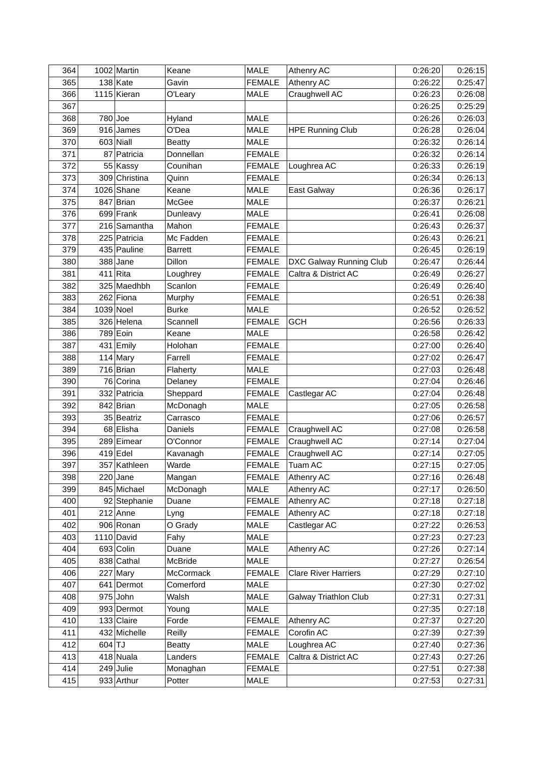| 364 |        | 1002 Martin   | Keane          | <b>MALE</b>   | Athenry AC                   | 0:26:20 | 0:26:15 |
|-----|--------|---------------|----------------|---------------|------------------------------|---------|---------|
| 365 |        | $138$ Kate    | Gavin          | <b>FEMALE</b> | <b>Athenry AC</b>            | 0:26:22 | 0:25:47 |
| 366 |        | 1115 Kieran   | O'Leary        | MALE          | Craughwell AC                | 0:26:23 | 0:26:08 |
| 367 |        |               |                |               |                              | 0:26:25 | 0:25:29 |
| 368 |        | 780 Joe       | Hyland         | MALE          |                              | 0:26:26 | 0:26:03 |
| 369 |        | 916 James     | O'Dea          | <b>MALE</b>   | <b>HPE Running Club</b>      | 0:26:28 | 0:26:04 |
| 370 |        | $603$ Niall   | <b>Beatty</b>  | MALE          |                              | 0:26:32 | 0:26:14 |
| 371 |        | 87 Patricia   | Donnellan      | <b>FEMALE</b> |                              | 0:26:32 | 0:26:14 |
| 372 |        | 55 Kassy      | Counihan       | <b>FEMALE</b> | Loughrea AC                  | 0:26:33 | 0:26:19 |
| 373 |        | 309 Christina | Quinn          | <b>FEMALE</b> |                              | 0:26:34 | 0:26:13 |
| 374 |        | 1026 Shane    | Keane          | MALE          | East Galway                  | 0:26:36 | 0:26:17 |
| 375 |        | 847 Brian     | McGee          | MALE          |                              | 0:26:37 | 0:26:21 |
| 376 |        | 699 Frank     | Dunleavy       | <b>MALE</b>   |                              | 0:26:41 | 0:26:08 |
| 377 |        | 216 Samantha  | Mahon          | <b>FEMALE</b> |                              | 0:26:43 | 0:26:37 |
| 378 |        | 225 Patricia  | Mc Fadden      | <b>FEMALE</b> |                              | 0:26:43 | 0:26:21 |
| 379 |        | 435 Pauline   | <b>Barrett</b> | <b>FEMALE</b> |                              | 0:26:45 | 0:26:19 |
| 380 |        | $388$ Jane    | Dillon         | <b>FEMALE</b> | DXC Galway Running Club      | 0:26:47 | 0:26:44 |
| 381 |        | $411$ Rita    | Loughrey       | <b>FEMALE</b> | Caltra & District AC         | 0:26:49 | 0:26:27 |
| 382 |        | 325 Maedhbh   | Scanlon        | <b>FEMALE</b> |                              | 0:26:49 | 0:26:40 |
| 383 |        | 262 Fiona     | Murphy         | <b>FEMALE</b> |                              | 0:26:51 | 0:26:38 |
| 384 |        | 1039 Noel     | <b>Burke</b>   | <b>MALE</b>   |                              | 0:26:52 | 0:26:52 |
| 385 |        | 326 Helena    | Scannell       | <b>FEMALE</b> | <b>GCH</b>                   | 0:26:56 | 0:26:33 |
| 386 |        | 789 Eoin      | Keane          | MALE          |                              | 0:26:58 | 0:26:42 |
| 387 |        | 431 Emily     | Holohan        | <b>FEMALE</b> |                              | 0:27:00 | 0:26:40 |
| 388 |        | 114 Mary      | Farrell        | <b>FEMALE</b> |                              | 0:27:02 | 0:26:47 |
| 389 |        | 716 Brian     | Flaherty       | <b>MALE</b>   |                              | 0:27:03 | 0:26:48 |
| 390 |        | 76 Corina     | Delaney        | <b>FEMALE</b> |                              | 0:27:04 | 0:26:46 |
| 391 |        | 332 Patricia  | Sheppard       | <b>FEMALE</b> | Castlegar AC                 | 0:27:04 | 0:26:48 |
| 392 |        | 842 Brian     | McDonagh       | <b>MALE</b>   |                              | 0:27:05 | 0:26:58 |
| 393 |        | 35 Beatriz    | Carrasco       | <b>FEMALE</b> |                              | 0:27:06 | 0:26:57 |
| 394 |        | 68 Elisha     | Daniels        | <b>FEMALE</b> | Craughwell AC                | 0:27:08 | 0:26:58 |
| 395 |        | 289 Eimear    | O'Connor       | <b>FEMALE</b> | Craughwell AC                | 0:27:14 | 0:27:04 |
| 396 |        | $419$ Edel    | Kavanagh       | <b>FEMALE</b> | Craughwell AC                | 0:27:14 | 0:27:05 |
| 397 |        | 357 Kathleen  | Warde          | <b>FEMALE</b> | Tuam AC                      | 0:27:15 | 0:27:05 |
| 398 |        | $220$ Jane    | Mangan         | <b>FEMALE</b> | Athenry AC                   | 0:27:16 | 0:26:48 |
| 399 |        | 845 Michael   | McDonagh       | MALE          | Athenry AC                   | 0:27:17 | 0:26:50 |
| 400 |        | 92 Stephanie  | Duane          | <b>FEMALE</b> | Athenry AC                   | 0:27:18 | 0:27:18 |
| 401 |        | $212$ Anne    | Lyng           | <b>FEMALE</b> | Athenry AC                   | 0:27:18 | 0:27:18 |
| 402 |        | 906 Ronan     | O Grady        | MALE          | Castlegar AC                 | 0:27:22 | 0:26:53 |
| 403 |        | 1110 David    | Fahy           | MALE          |                              | 0:27:23 | 0:27:23 |
| 404 |        | 693 Colin     | Duane          | MALE          | Athenry AC                   | 0:27:26 | 0:27:14 |
| 405 |        | 838 Cathal    | McBride        | MALE          |                              | 0:27:27 | 0:26:54 |
| 406 |        | 227 Mary      | McCormack      | <b>FEMALE</b> | <b>Clare River Harriers</b>  | 0:27:29 | 0:27:10 |
| 407 |        | 641 Dermot    | Comerford      | <b>MALE</b>   |                              | 0:27:30 | 0:27:02 |
| 408 |        | $975$ John    | Walsh          | MALE          | <b>Galway Triathlon Club</b> | 0:27:31 | 0:27:31 |
| 409 |        | 993 Dermot    | Young          | MALE          |                              | 0:27:35 | 0:27:18 |
| 410 |        | 133 Claire    | Forde          | <b>FEMALE</b> | Athenry AC                   | 0:27:37 | 0:27:20 |
| 411 |        | 432 Michelle  | Reilly         | <b>FEMALE</b> | Corofin AC                   | 0:27:39 | 0:27:39 |
| 412 | 604 TJ |               | <b>Beatty</b>  | MALE          | Loughrea AC                  | 0:27:40 | 0:27:36 |
| 413 |        | 418 Nuala     | Landers        | <b>FEMALE</b> | Caltra & District AC         | 0:27:43 | 0:27:26 |
| 414 |        | $249$ Julie   | Monaghan       | <b>FEMALE</b> |                              | 0:27:51 | 0:27:38 |
| 415 |        | 933 Arthur    | Potter         | MALE          |                              | 0:27:53 | 0:27:31 |
|     |        |               |                |               |                              |         |         |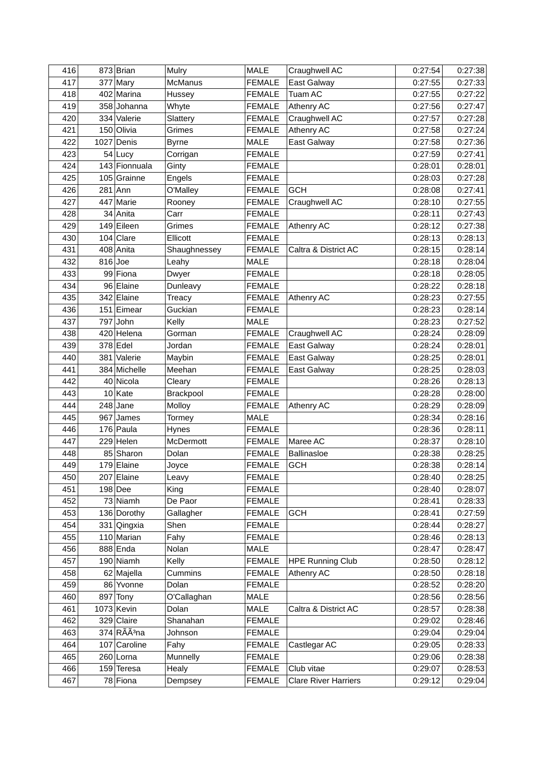| 416 | 873 Brian                 | Mulry          | <b>MALE</b>   | Craughwell AC               | 0:27:54 | 0:27:38 |
|-----|---------------------------|----------------|---------------|-----------------------------|---------|---------|
| 417 | 377 Mary                  | <b>McManus</b> | <b>FEMALE</b> | <b>East Galway</b>          | 0:27:55 | 0:27:33 |
| 418 | 402 Marina                | Hussey         | <b>FEMALE</b> | Tuam AC                     | 0:27:55 | 0:27:22 |
| 419 | 358 Johanna               | Whyte          | <b>FEMALE</b> | Athenry AC                  | 0:27:56 | 0:27:47 |
| 420 | 334 Valerie               | Slattery       | <b>FEMALE</b> | Craughwell AC               | 0:27:57 | 0:27:28 |
| 421 | 150 Olivia                | Grimes         | <b>FEMALE</b> | Athenry AC                  | 0:27:58 | 0:27:24 |
| 422 | 1027 Denis                | <b>Byrne</b>   | MALE          | East Galway                 | 0:27:58 | 0:27:36 |
| 423 | 54 Lucy                   | Corrigan       | <b>FEMALE</b> |                             | 0:27:59 | 0:27:41 |
| 424 | 143 Fionnuala             | Ginty          | <b>FEMALE</b> |                             | 0:28:01 | 0:28:01 |
| 425 | 105 Grainne               | Engels         | <b>FEMALE</b> |                             | 0:28:03 | 0:27:28 |
| 426 | $281$ Ann                 | O'Malley       | <b>FEMALE</b> | <b>GCH</b>                  | 0:28:08 | 0:27:41 |
| 427 | 447 Marie                 | Rooney         | <b>FEMALE</b> | Craughwell AC               | 0:28:10 | 0:27:55 |
| 428 | 34 Anita                  | Carr           | <b>FEMALE</b> |                             | 0:28:11 | 0:27:43 |
| 429 | 149 Eileen                | Grimes         | <b>FEMALE</b> | <b>Athenry AC</b>           | 0:28:12 | 0:27:38 |
| 430 | $104$ Clare               | Ellicott       | <b>FEMALE</b> |                             | 0:28:13 | 0:28:13 |
| 431 | 408 Anita                 | Shaughnessey   | <b>FEMALE</b> | Caltra & District AC        | 0:28:15 | 0:28:14 |
| 432 | $816$ Joe                 | Leahy          | <b>MALE</b>   |                             | 0:28:18 | 0:28:04 |
| 433 | 99 Fiona                  | Dwyer          | <b>FEMALE</b> |                             | 0:28:18 | 0:28:05 |
| 434 | 96 Elaine                 | Dunleavy       | <b>FEMALE</b> |                             | 0:28:22 | 0:28:18 |
| 435 | 342 Elaine                | Treacy         | <b>FEMALE</b> | Athenry AC                  | 0:28:23 | 0:27:55 |
| 436 | 151 Eimear                | Guckian        | <b>FEMALE</b> |                             | 0:28:23 | 0:28:14 |
| 437 | 797 John                  | Kelly          | MALE          |                             | 0:28:23 | 0:27:52 |
| 438 | 420 Helena                | Gorman         | <b>FEMALE</b> | Craughwell AC               | 0:28:24 | 0:28:09 |
| 439 | 378 Edel                  | Jordan         | <b>FEMALE</b> | East Galway                 | 0:28:24 | 0:28:01 |
| 440 | 381 Valerie               | Maybin         | <b>FEMALE</b> | East Galway                 | 0:28:25 | 0:28:01 |
| 441 | 384 Michelle              | Meehan         | <b>FEMALE</b> | East Galway                 | 0:28:25 | 0:28:03 |
| 442 | 40 Nicola                 | Cleary         | <b>FEMALE</b> |                             | 0:28:26 | 0:28:13 |
| 443 | 10 Kate                   | Brackpool      | <b>FEMALE</b> |                             | 0:28:28 | 0:28:00 |
| 444 | $248$ Jane                | Molloy         | <b>FEMALE</b> | Athenry AC                  | 0:28:29 | 0:28:09 |
| 445 | 967 James                 | Tormey         | MALE          |                             | 0:28:34 | 0:28:16 |
| 446 | $176$ Paula               | Hynes          | <b>FEMALE</b> |                             | 0:28:36 | 0:28:11 |
| 447 | $229$ Helen               | McDermott      | <b>FEMALE</b> | Maree AC                    | 0:28:37 | 0:28:10 |
| 448 | 85 Sharon                 | Dolan          | <b>FEMALE</b> | <b>Ballinasloe</b>          | 0:28:38 | 0:28:25 |
| 449 | 179 Elaine                | Joyce          | <b>FEMALE</b> | <b>GCH</b>                  | 0:28:38 | 0:28:14 |
| 450 | 207 Elaine                | Leavy          | <b>FEMALE</b> |                             | 0:28:40 | 0:28:25 |
| 451 | $198$ Dee                 | King           | <b>FEMALE</b> |                             | 0:28:40 | 0:28:07 |
| 452 | 73 Niamh                  | De Paor        | <b>FEMALE</b> |                             | 0:28:41 | 0:28:33 |
| 453 | 136 Dorothy               | Gallagher      | <b>FEMALE</b> | <b>GCH</b>                  | 0:28:41 | 0:27:59 |
| 454 | 331 Qingxia               | Shen           | <b>FEMALE</b> |                             | 0:28:44 | 0:28:27 |
| 455 | 110 Marian                | Fahy           | <b>FEMALE</b> |                             | 0:28:46 | 0:28:13 |
| 456 | 888 Enda                  | Nolan          | <b>MALE</b>   |                             | 0:28:47 | 0:28:47 |
| 457 | 190 Niamh                 | Kelly          | <b>FEMALE</b> | <b>HPE Running Club</b>     | 0:28:50 | 0:28:12 |
| 458 | 62 Majella                | Cummins        | <b>FEMALE</b> | Athenry AC                  | 0:28:50 | 0:28:18 |
| 459 | 86 Yvonne                 | Dolan          | <b>FEMALE</b> |                             | 0:28:52 | 0:28:20 |
| 460 | 897 Tony                  | O'Callaghan    | MALE          |                             | 0:28:56 | 0:28:56 |
| 461 | $1073$ Kevin              | Dolan          | MALE          | Caltra & District AC        | 0:28:57 | 0:28:38 |
| 462 | 329 Claire                | Shanahan       | <b>FEMALE</b> |                             | 0:29:02 | 0:28:46 |
| 463 | $374$ RÃÃ <sup>3</sup> na | Johnson        | <b>FEMALE</b> |                             | 0:29:04 | 0:29:04 |
| 464 | 107 Caroline              | Fahy           | <b>FEMALE</b> | Castlegar AC                | 0:29:05 | 0:28:33 |
| 465 | 260 Lorna                 | Munnelly       | <b>FEMALE</b> |                             | 0:29:06 | 0:28:38 |
| 466 | 159 Teresa                | Healy          | <b>FEMALE</b> | Club vitae                  | 0:29:07 | 0:28:53 |
| 467 | 78 Fiona                  | Dempsey        | <b>FEMALE</b> | <b>Clare River Harriers</b> | 0:29:12 | 0:29:04 |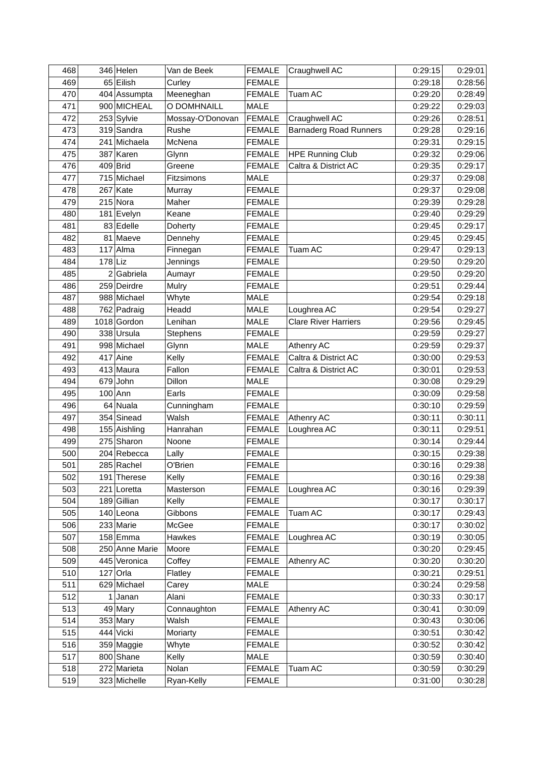| 468        |           | 346 Helen            | Van de Beek          | <b>FEMALE</b>                  | Craughwell AC                 | 0:29:15            | 0:29:01            |
|------------|-----------|----------------------|----------------------|--------------------------------|-------------------------------|--------------------|--------------------|
| 469        |           | 65 Eilish            | Curley               | <b>FEMALE</b>                  |                               | 0:29:18            | 0:28:56            |
| 470        |           | 404 Assumpta         | Meeneghan            | <b>FEMALE</b>                  | Tuam AC                       | 0:29:20            | 0:28:49            |
| 471        |           | 900 MICHEAL          | O DOMHNAILL          | <b>MALE</b>                    |                               | 0:29:22            | 0:29:03            |
| 472        |           | 253 Sylvie           | Mossay-O'Donovan     | <b>FEMALE</b>                  | Craughwell AC                 | 0:29:26            | 0:28:51            |
| 473        |           | 319 Sandra           | Rushe                | <b>FEMALE</b>                  | <b>Barnaderg Road Runners</b> | 0:29:28            | 0:29:16            |
| 474        |           | 241 Michaela         | McNena               | <b>FEMALE</b>                  |                               | 0:29:31            | 0:29:15            |
| 475        |           | 387 Karen            | Glynn                | <b>FEMALE</b>                  | <b>HPE Running Club</b>       | 0:29:32            | 0:29:06            |
| 476        |           | 409 Brid             | Greene               | <b>FEMALE</b>                  | Caltra & District AC          | 0:29:35            | 0:29:17            |
| 477        |           | 715 Michael          | Fitzsimons           | MALE                           |                               | 0:29:37            | 0:29:08            |
| 478        |           | $267$ Kate           | Murray               | <b>FEMALE</b>                  |                               | 0:29:37            | 0:29:08            |
| 479        |           | $215$ Nora           | Maher                | <b>FEMALE</b>                  |                               | 0:29:39            | 0:29:28            |
| 480        |           | 181 Evelyn           | Keane                | <b>FEMALE</b>                  |                               | 0:29:40            | 0:29:29            |
| 481        |           | 83 Edelle            | Doherty              | <b>FEMALE</b>                  |                               | 0:29:45            | 0:29:17            |
| 482        |           | 81 Maeve             | Dennehy              | <b>FEMALE</b>                  |                               | 0:29:45            | 0:29:45            |
| 483        |           | $117$ Alma           | Finnegan             | <b>FEMALE</b>                  | Tuam AC                       | 0:29:47            | 0:29:13            |
| 484        | $178$ Liz |                      | Jennings             | <b>FEMALE</b>                  |                               | 0:29:50            | 0:29:20            |
| 485        |           | $2$ Gabriela         | Aumayr               | <b>FEMALE</b>                  |                               | 0:29:50            | 0:29:20            |
| 486        |           | 259 Deirdre          | Mulry                | <b>FEMALE</b>                  |                               | 0:29:51            | 0:29:44            |
| 487        |           | 988 Michael          | Whyte                | MALE                           |                               | 0:29:54            | 0:29:18            |
| 488        |           | 762 Padraig          | Headd                | <b>MALE</b>                    | Loughrea AC                   | 0:29:54            | 0:29:27            |
| 489        |           | 1018 Gordon          | Lenihan              | <b>MALE</b>                    | <b>Clare River Harriers</b>   | 0:29:56            | 0:29:45            |
| 490        |           | 338 Ursula           | Stephens             | <b>FEMALE</b>                  |                               | 0:29:59            | 0:29:27            |
| 491        |           | 998 Michael          | Glynn                | <b>MALE</b>                    | Athenry AC                    | 0:29:59            | 0:29:37            |
| 492        |           | 417 Aine             | Kelly                | <b>FEMALE</b>                  | Caltra & District AC          | 0:30:00            | 0:29:53            |
| 493        |           | 413 Maura            | Fallon               | <b>FEMALE</b>                  | Caltra & District AC          | 0:30:01            | 0:29:53            |
| 494        |           | $679$ John           | Dillon               | <b>MALE</b>                    |                               | 0:30:08            | 0:29:29            |
| 495        |           | $100$ Ann            | Earls                | <b>FEMALE</b>                  |                               | 0:30:09            | 0:29:58            |
| 496        |           | 64 Nuala             | Cunningham           | <b>FEMALE</b>                  |                               | 0:30:10            | 0:29:59            |
| 497        |           | 354 Sinead           | Walsh                | <b>FEMALE</b>                  | <b>Athenry AC</b>             | 0:30:11            | 0:30:11            |
| 498        |           | 155 Aishling         | Hanrahan             | <b>FEMALE</b>                  | Loughrea AC                   | 0:30:11            | 0:29:51            |
| 499        |           | 275 Sharon           | Noone                | <b>FEMALE</b>                  |                               | 0:30:14            | 0:29:44            |
| 500        |           | 204 Rebecca          | Lally                | <b>FEMALE</b>                  |                               | 0:30:15            | 0:29:38            |
| 501        |           | 285 Rachel           | O'Brien              | <b>FEMALE</b>                  |                               | 0:30:16            | 0:29:38            |
| 502        |           | 191 Therese          | Kelly                | <b>FEMALE</b>                  |                               | 0:30:16            | 0:29:38            |
| 503        |           | 221 Loretta          | Masterson            | <b>FEMALE</b>                  | Loughrea AC                   | 0:30:16            | 0:29:39            |
| 504        |           | 189 Gillian          | Kelly                | <b>FEMALE</b>                  |                               | 0:30:17            | 0:30:17            |
| 505        |           | 140 Leona            | Gibbons              | <b>FEMALE</b>                  | Tuam AC                       | 0:30:17            | 0:29:43            |
| 506        |           | 233 Marie            | McGee                | <b>FEMALE</b>                  |                               | 0:30:17            | 0:30:02            |
| 507        |           | 158 Emma             | Hawkes               | <b>FEMALE</b>                  | Loughrea AC                   | 0:30:19            | 0:30:05            |
| 508        |           | 250 Anne Marie       | Moore                | <b>FEMALE</b>                  |                               | 0:30:20            | 0:29:45            |
| 509        |           | 445 Veronica         | Coffey               | <b>FEMALE</b>                  | Athenry AC                    | 0:30:20            | 0:30:20            |
|            |           | $127$ Orla           |                      | <b>FEMALE</b>                  |                               | 0:30:21            |                    |
| 510<br>511 |           | 629 Michael          | Flatley<br>Carey     | MALE                           |                               | 0:30:24            | 0:29:51<br>0:29:58 |
|            |           |                      |                      |                                |                               |                    |                    |
| 512<br>513 |           | $1$ Janan<br>49 Mary | Alani<br>Connaughton | <b>FEMALE</b><br><b>FEMALE</b> |                               | 0:30:33<br>0:30:41 | 0:30:17<br>0:30:09 |
|            |           |                      |                      |                                | Athenry AC                    |                    |                    |
| 514        |           | 353 Mary             | Walsh                | <b>FEMALE</b>                  |                               | 0:30:43            | 0:30:06            |
| 515        |           | 444 Vicki            | Moriarty             | <b>FEMALE</b>                  |                               | 0:30:51            | 0:30:42            |
| 516        |           | 359 Maggie           | Whyte                | <b>FEMALE</b>                  |                               | 0:30:52            | 0:30:42            |
| 517        |           | 800 Shane            | Kelly                | MALE                           |                               | 0:30:59            | 0:30:40            |
| 518        |           | 272 Marieta          | Nolan                | <b>FEMALE</b>                  | Tuam AC                       | 0:30:59            | 0:30:29            |
| 519        |           | 323 Michelle         | Ryan-Kelly           | <b>FEMALE</b>                  |                               | 0:31:00            | 0:30:28            |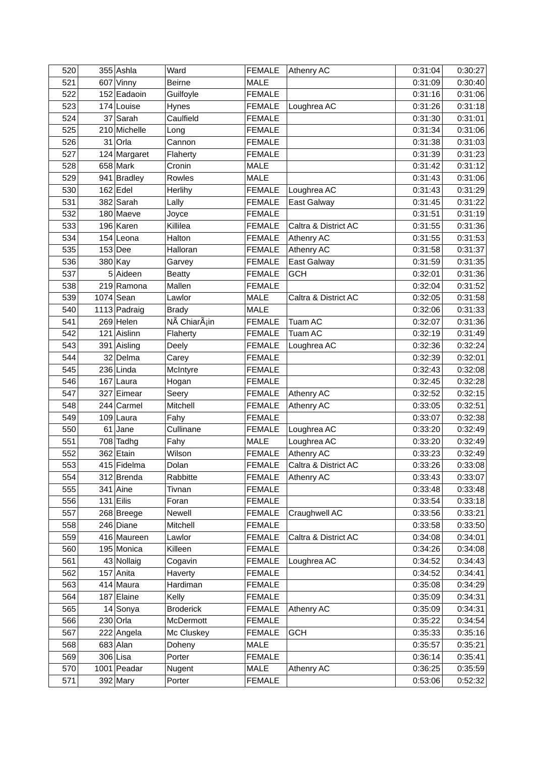| 520 | 355 Ashla    | Ward                      | <b>FEMALE</b> | Athenry AC           | 0:31:04 | 0:30:27 |
|-----|--------------|---------------------------|---------------|----------------------|---------|---------|
| 521 | 607 Vinny    | <b>Beirne</b>             | <b>MALE</b>   |                      | 0:31:09 | 0:30:40 |
| 522 | 152 Eadaoin  | Guilfoyle                 | <b>FEMALE</b> |                      | 0:31:16 | 0:31:06 |
| 523 | 174 Louise   | Hynes                     | <b>FEMALE</b> | Loughrea AC          | 0:31:26 | 0:31:18 |
| 524 | 37 Sarah     | Caulfield                 | <b>FEMALE</b> |                      | 0:31:30 | 0:31:01 |
| 525 | 210 Michelle | Long                      | <b>FEMALE</b> |                      | 0:31:34 | 0:31:06 |
| 526 | 31 Orla      | Cannon                    | <b>FEMALE</b> |                      | 0:31:38 | 0:31:03 |
| 527 | 124 Margaret | Flaherty                  | <b>FEMALE</b> |                      | 0:31:39 | 0:31:23 |
| 528 | $658$ Mark   | Cronin                    | <b>MALE</b>   |                      | 0:31:42 | 0:31:12 |
| 529 | 941 Bradley  | Rowles                    | MALE          |                      | 0:31:43 | 0:31:06 |
| 530 | $162$ Edel   | Herlihy                   | <b>FEMALE</b> | Loughrea AC          | 0:31:43 | 0:31:29 |
| 531 | $382$ Sarah  | Lally                     | <b>FEMALE</b> | East Galway          | 0:31:45 | 0:31:22 |
| 532 | 180 Maeve    | Joyce                     | <b>FEMALE</b> |                      | 0:31:51 | 0:31:19 |
| 533 | 196 Karen    | Killilea                  | <b>FEMALE</b> | Caltra & District AC | 0:31:55 | 0:31:36 |
| 534 | 154 Leona    | Halton                    | <b>FEMALE</b> | Athenry AC           | 0:31:55 | 0:31:53 |
| 535 | $153$ Dee    | Halloran                  | <b>FEMALE</b> | Athenry AC           | 0:31:58 | 0:31:37 |
| 536 | 380 Kay      | Garvey                    | <b>FEMALE</b> | East Galway          | 0:31:59 | 0:31:35 |
| 537 | 5 Aideen     | <b>Beatty</b>             | <b>FEMALE</b> | <b>GCH</b>           | 0:32:01 | 0:31:36 |
| 538 | 219 Ramona   | Mallen                    | <b>FEMALE</b> |                      | 0:32:04 | 0:31:52 |
| 539 | $1074$ Sean  | Lawlor                    | MALE          | Caltra & District AC | 0:32:05 | 0:31:58 |
| 540 | 1113 Padraig | <b>Brady</b>              | MALE          |                      | 0:32:06 | 0:31:33 |
| 541 | 269 Helen    | NÃ ChiarÃ <sub>i</sub> in | <b>FEMALE</b> | <b>Tuam AC</b>       | 0:32:07 | 0:31:36 |
| 542 | 121 Aislinn  | Flaherty                  | <b>FEMALE</b> | Tuam AC              | 0:32:19 | 0:31:49 |
| 543 | 391 Aisling  | Deely                     | <b>FEMALE</b> | Loughrea AC          | 0:32:36 | 0:32:24 |
| 544 | 32 Delma     | Carey                     | <b>FEMALE</b> |                      | 0:32:39 | 0:32:01 |
| 545 | 236 Linda    | McIntyre                  | <b>FEMALE</b> |                      | 0:32:43 | 0:32:08 |
| 546 | $167$ Laura  | Hogan                     | <b>FEMALE</b> |                      | 0:32:45 | 0:32:28 |
| 547 | 327 Eimear   | Seery                     | <b>FEMALE</b> | Athenry AC           | 0:32:52 | 0:32:15 |
| 548 | 244 Carmel   | Mitchell                  | <b>FEMALE</b> | Athenry AC           | 0:33:05 | 0:32:51 |
| 549 | 109 Laura    | Fahy                      | <b>FEMALE</b> |                      | 0:33:07 | 0:32:38 |
| 550 | $61$ Jane    | Cullinane                 | <b>FEMALE</b> | Loughrea AC          | 0:33:20 | 0:32:49 |
| 551 | $708$ Tadhg  | Fahy                      | MALE          | Loughrea AC          | 0:33:20 | 0:32:49 |
| 552 | 362 Etain    | Wilson                    | <b>FEMALE</b> | Athenry AC           | 0:33:23 | 0:32:49 |
| 553 | 415 Fidelma  | Dolan                     | <b>FEMALE</b> | Caltra & District AC | 0:33:26 | 0:33:08 |
| 554 | 312 Brenda   | Rabbitte                  | <b>FEMALE</b> | Athenry AC           | 0:33:43 | 0:33:07 |
| 555 | 341 Aine     | Tivnan                    | <b>FEMALE</b> |                      | 0:33:48 | 0:33:48 |
| 556 | $131$ Eilis  | Foran                     | <b>FEMALE</b> |                      | 0:33:54 | 0:33:18 |
| 557 | 268 Breege   | Newell                    | <b>FEMALE</b> | Craughwell AC        | 0:33:56 | 0:33:21 |
| 558 | 246 Diane    | Mitchell                  | <b>FEMALE</b> |                      | 0:33:58 | 0:33:50 |
| 559 | 416 Maureen  | Lawlor                    | <b>FEMALE</b> | Caltra & District AC | 0:34:08 | 0:34:01 |
| 560 | 195 Monica   | Killeen                   | <b>FEMALE</b> |                      | 0:34:26 | 0:34:08 |
| 561 | 43 Nollaig   | Cogavin                   | <b>FEMALE</b> | Loughrea AC          | 0:34:52 | 0:34:43 |
| 562 | 157 Anita    | Haverty                   | <b>FEMALE</b> |                      | 0:34:52 | 0:34:41 |
| 563 | 414 Maura    | Hardiman                  | FEMALE        |                      | 0:35:08 | 0:34:29 |
| 564 | 187 Elaine   | Kelly                     | <b>FEMALE</b> |                      | 0:35:09 | 0:34:31 |
| 565 | 14 Sonya     | <b>Broderick</b>          | <b>FEMALE</b> | Athenry AC           | 0:35:09 | 0:34:31 |
| 566 | 230 Orla     | McDermott                 | <b>FEMALE</b> |                      | 0:35:22 | 0:34:54 |
| 567 | 222 Angela   | Mc Cluskey                | <b>FEMALE</b> | <b>GCH</b>           | 0:35:33 | 0:35:16 |
| 568 | $683$ Alan   | Doheny                    | MALE          |                      | 0:35:57 | 0:35:21 |
| 569 | 306 Lisa     | Porter                    | <b>FEMALE</b> |                      | 0:36:14 | 0:35:41 |
| 570 | 1001 Peadar  | Nugent                    | MALE          | Athenry AC           | 0:36:25 | 0:35:59 |
| 571 | $392$ Mary   | Porter                    | <b>FEMALE</b> |                      | 0:53:06 | 0:52:32 |